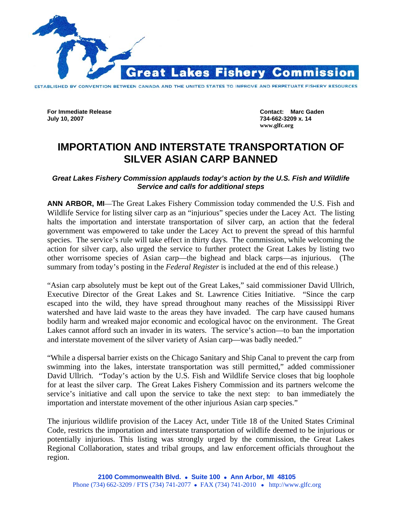

**For Immediate Release Contact: Marc Gaden** 

**July 10, 2007 734-662-3209 x. 14 www.glfc.org** 

## **IMPORTATION AND INTERSTATE TRANSPORTATION OF SILVER ASIAN CARP BANNED**

## *Great Lakes Fishery Commission applauds today's action by the U.S. Fish and Wildlife Service and calls for additional steps*

**ANN ARBOR, MI**—The Great Lakes Fishery Commission today commended the U.S. Fish and Wildlife Service for listing silver carp as an "injurious" species under the Lacey Act. The listing halts the importation and interstate transportation of silver carp, an action that the federal government was empowered to take under the Lacey Act to prevent the spread of this harmful species. The service's rule will take effect in thirty days. The commission, while welcoming the action for silver carp, also urged the service to further protect the Great Lakes by listing two other worrisome species of Asian carp—the bighead and black carps—as injurious. (The summary from today's posting in the *Federal Register* is included at the end of this release.)

"Asian carp absolutely must be kept out of the Great Lakes," said commissioner David Ullrich, Executive Director of the Great Lakes and St. Lawrence Cities Initiative. "Since the carp escaped into the wild, they have spread throughout many reaches of the Mississippi River watershed and have laid waste to the areas they have invaded. The carp have caused humans bodily harm and wreaked major economic and ecological havoc on the environment. The Great Lakes cannot afford such an invader in its waters. The service's action—to ban the importation and interstate movement of the silver variety of Asian carp—was badly needed."

"While a dispersal barrier exists on the Chicago Sanitary and Ship Canal to prevent the carp from swimming into the lakes, interstate transportation was still permitted," added commissioner David Ullrich. "Today's action by the U.S. Fish and Wildlife Service closes that big loophole for at least the silver carp. The Great Lakes Fishery Commission and its partners welcome the service's initiative and call upon the service to take the next step: to ban immediately the importation and interstate movement of the other injurious Asian carp species."

The injurious wildlife provision of the Lacey Act, under Title 18 of the United States Criminal Code, restricts the importation and interstate transportation of wildlife deemed to be injurious or potentially injurious. This listing was strongly urged by the commission, the Great Lakes Regional Collaboration, states and tribal groups, and law enforcement officials throughout the region.